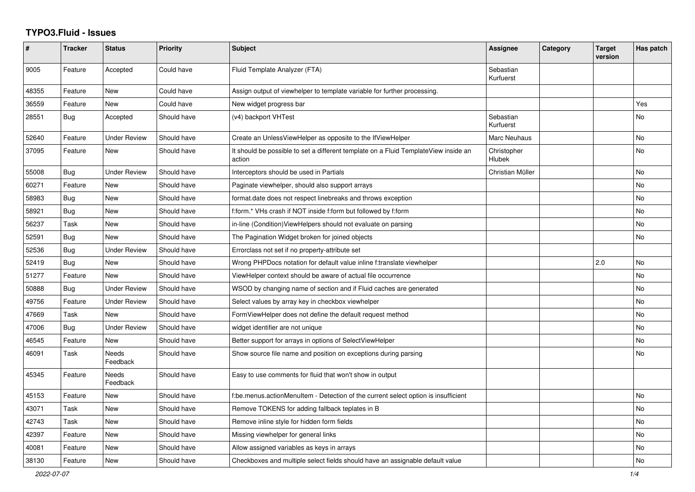## **TYPO3.Fluid - Issues**

| $\pmb{\#}$ | <b>Tracker</b> | <b>Status</b>            | <b>Priority</b> | Subject                                                                                       | Assignee               | Category | <b>Target</b><br>version | Has patch |
|------------|----------------|--------------------------|-----------------|-----------------------------------------------------------------------------------------------|------------------------|----------|--------------------------|-----------|
| 9005       | Feature        | Accepted                 | Could have      | Fluid Template Analyzer (FTA)                                                                 | Sebastian<br>Kurfuerst |          |                          |           |
| 48355      | Feature        | <b>New</b>               | Could have      | Assign output of viewhelper to template variable for further processing.                      |                        |          |                          |           |
| 36559      | Feature        | New                      | Could have      | New widget progress bar                                                                       |                        |          |                          | Yes       |
| 28551      | Bug            | Accepted                 | Should have     | (v4) backport VHTest                                                                          | Sebastian<br>Kurfuerst |          |                          | No        |
| 52640      | Feature        | <b>Under Review</b>      | Should have     | Create an UnlessViewHelper as opposite to the IfViewHelper                                    | Marc Neuhaus           |          |                          | No        |
| 37095      | Feature        | New                      | Should have     | It should be possible to set a different template on a Fluid TemplateView inside an<br>action | Christopher<br>Hlubek  |          |                          | No        |
| 55008      | Bug            | <b>Under Review</b>      | Should have     | Interceptors should be used in Partials                                                       | Christian Müller       |          |                          | <b>No</b> |
| 60271      | Feature        | <b>New</b>               | Should have     | Paginate viewhelper, should also support arrays                                               |                        |          |                          | <b>No</b> |
| 58983      | Bug            | <b>New</b>               | Should have     | format.date does not respect linebreaks and throws exception                                  |                        |          |                          | No        |
| 58921      | <b>Bug</b>     | New                      | Should have     | f:form.* VHs crash if NOT inside f:form but followed by f:form                                |                        |          |                          | No        |
| 56237      | Task           | New                      | Should have     | in-line (Condition) View Helpers should not evaluate on parsing                               |                        |          |                          | <b>No</b> |
| 52591      | Bug            | New                      | Should have     | The Pagination Widget broken for joined objects                                               |                        |          |                          | No        |
| 52536      | Bug            | <b>Under Review</b>      | Should have     | Errorclass not set if no property-attribute set                                               |                        |          |                          |           |
| 52419      | Bug            | New                      | Should have     | Wrong PHPDocs notation for default value inline f:translate viewhelper                        |                        |          | 2.0                      | No        |
| 51277      | Feature        | <b>New</b>               | Should have     | ViewHelper context should be aware of actual file occurrence                                  |                        |          |                          | <b>No</b> |
| 50888      | <b>Bug</b>     | <b>Under Review</b>      | Should have     | WSOD by changing name of section and if Fluid caches are generated                            |                        |          |                          | No        |
| 49756      | Feature        | <b>Under Review</b>      | Should have     | Select values by array key in checkbox viewhelper                                             |                        |          |                          | No        |
| 47669      | Task           | New                      | Should have     | FormViewHelper does not define the default request method                                     |                        |          |                          | No        |
| 47006      | Bug            | <b>Under Review</b>      | Should have     | widget identifier are not unique                                                              |                        |          |                          | No        |
| 46545      | Feature        | New                      | Should have     | Better support for arrays in options of SelectViewHelper                                      |                        |          |                          | No        |
| 46091      | Task           | <b>Needs</b><br>Feedback | Should have     | Show source file name and position on exceptions during parsing                               |                        |          |                          | <b>No</b> |
| 45345      | Feature        | <b>Needs</b><br>Feedback | Should have     | Easy to use comments for fluid that won't show in output                                      |                        |          |                          |           |
| 45153      | Feature        | <b>New</b>               | Should have     | f:be.menus.actionMenuItem - Detection of the current select option is insufficient            |                        |          |                          | <b>No</b> |
| 43071      | Task           | <b>New</b>               | Should have     | Remove TOKENS for adding fallback teplates in B                                               |                        |          |                          | <b>No</b> |
| 42743      | Task           | New                      | Should have     | Remove inline style for hidden form fields                                                    |                        |          |                          | No        |
| 42397      | Feature        | New                      | Should have     | Missing viewhelper for general links                                                          |                        |          |                          | No        |
| 40081      | Feature        | New                      | Should have     | Allow assigned variables as keys in arrays                                                    |                        |          |                          | No        |
| 38130      | Feature        | New                      | Should have     | Checkboxes and multiple select fields should have an assignable default value                 |                        |          |                          | No        |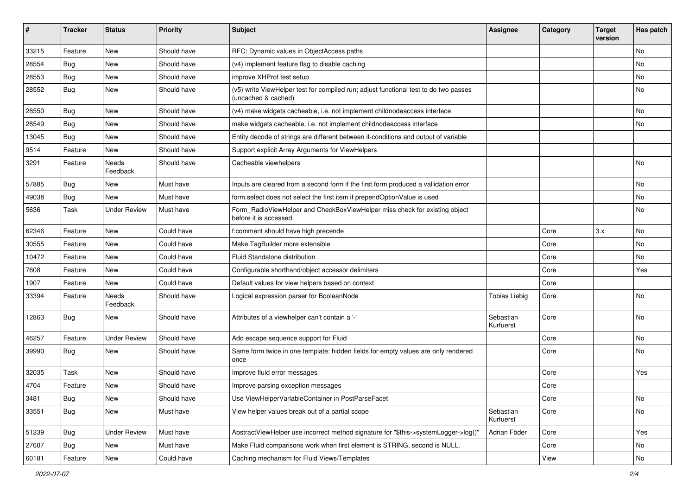| #     | <b>Tracker</b> | <b>Status</b>       | <b>Priority</b> | <b>Subject</b>                                                                                              | <b>Assignee</b>        | Category | <b>Target</b><br>version | Has patch |
|-------|----------------|---------------------|-----------------|-------------------------------------------------------------------------------------------------------------|------------------------|----------|--------------------------|-----------|
| 33215 | Feature        | <b>New</b>          | Should have     | RFC: Dynamic values in ObjectAccess paths                                                                   |                        |          |                          | <b>No</b> |
| 28554 | Bug            | New                 | Should have     | (v4) implement feature flag to disable caching                                                              |                        |          |                          | No        |
| 28553 | Bug            | New                 | Should have     | improve XHProf test setup                                                                                   |                        |          |                          | No        |
| 28552 | Bug            | New                 | Should have     | (v5) write ViewHelper test for compiled run; adjust functional test to do two passes<br>(uncached & cached) |                        |          |                          | No        |
| 28550 | Bug            | New                 | Should have     | (v4) make widgets cacheable, i.e. not implement childnodeaccess interface                                   |                        |          |                          | <b>No</b> |
| 28549 | Bug            | New                 | Should have     | make widgets cacheable, i.e. not implement childnodeaccess interface                                        |                        |          |                          | No        |
| 13045 | Bug            | New                 | Should have     | Entity decode of strings are different between if-conditions and output of variable                         |                        |          |                          |           |
| 9514  | Feature        | <b>New</b>          | Should have     | Support explicit Array Arguments for ViewHelpers                                                            |                        |          |                          |           |
| 3291  | Feature        | Needs<br>Feedback   | Should have     | Cacheable viewhelpers                                                                                       |                        |          |                          | <b>No</b> |
| 57885 | Bug            | New                 | Must have       | Inputs are cleared from a second form if the first form produced a vallidation error                        |                        |          |                          | <b>No</b> |
| 49038 | Bug            | <b>New</b>          | Must have       | form.select does not select the first item if prependOptionValue is used                                    |                        |          |                          | No        |
| 5636  | Task           | <b>Under Review</b> | Must have       | Form_RadioViewHelper and CheckBoxViewHelper miss check for existing object<br>before it is accessed.        |                        |          |                          | <b>No</b> |
| 62346 | Feature        | New                 | Could have      | f:comment should have high precende                                                                         |                        | Core     | 3.x                      | <b>No</b> |
| 30555 | Feature        | <b>New</b>          | Could have      | Make TagBuilder more extensible                                                                             |                        | Core     |                          | <b>No</b> |
| 10472 | Feature        | New                 | Could have      | Fluid Standalone distribution                                                                               |                        | Core     |                          | No        |
| 7608  | Feature        | New                 | Could have      | Configurable shorthand/object accessor delimiters                                                           |                        | Core     |                          | Yes       |
| 1907  | Feature        | New                 | Could have      | Default values for view helpers based on context                                                            |                        | Core     |                          |           |
| 33394 | Feature        | Needs<br>Feedback   | Should have     | Logical expression parser for BooleanNode                                                                   | Tobias Liebig          | Core     |                          | <b>No</b> |
| 12863 | Bug            | New                 | Should have     | Attributes of a viewhelper can't contain a '-'                                                              | Sebastian<br>Kurfuerst | Core     |                          | <b>No</b> |
| 46257 | Feature        | <b>Under Review</b> | Should have     | Add escape sequence support for Fluid                                                                       |                        | Core     |                          | No        |
| 39990 | Bug            | New                 | Should have     | Same form twice in one template: hidden fields for empty values are only rendered<br>once                   |                        | Core     |                          | No        |
| 32035 | Task           | New                 | Should have     | Improve fluid error messages                                                                                |                        | Core     |                          | Yes       |
| 4704  | Feature        | New                 | Should have     | Improve parsing exception messages                                                                          |                        | Core     |                          |           |
| 3481  | <b>Bug</b>     | New                 | Should have     | Use ViewHelperVariableContainer in PostParseFacet                                                           |                        | Core     |                          | No        |
| 33551 | Bug            | New                 | Must have       | View helper values break out of a partial scope                                                             | Sebastian<br>Kurfuerst | Core     |                          | No        |
| 51239 | Bug            | <b>Under Review</b> | Must have       | AbstractViewHelper use incorrect method signature for "\$this->systemLogger->log()"                         | Adrian Föder           | Core     |                          | Yes       |
| 27607 | Bug            | New                 | Must have       | Make Fluid comparisons work when first element is STRING, second is NULL.                                   |                        | Core     |                          | No        |
| 60181 | Feature        | New                 | Could have      | Caching mechanism for Fluid Views/Templates                                                                 |                        | View     |                          | No        |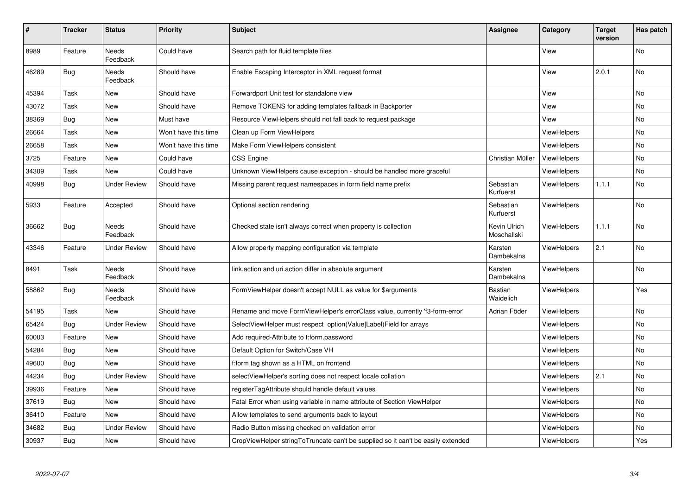| #     | <b>Tracker</b> | <b>Status</b>       | <b>Priority</b>      | <b>Subject</b>                                                                   | <b>Assignee</b>             | Category           | <b>Target</b><br>version | Has patch |
|-------|----------------|---------------------|----------------------|----------------------------------------------------------------------------------|-----------------------------|--------------------|--------------------------|-----------|
| 8989  | Feature        | Needs<br>Feedback   | Could have           | Search path for fluid template files                                             |                             | View               |                          | <b>No</b> |
| 46289 | <b>Bug</b>     | Needs<br>Feedback   | Should have          | Enable Escaping Interceptor in XML request format                                |                             | View               | 2.0.1                    | <b>No</b> |
| 45394 | Task           | New                 | Should have          | Forwardport Unit test for standalone view                                        |                             | View               |                          | <b>No</b> |
| 43072 | Task           | New                 | Should have          | Remove TOKENS for adding templates fallback in Backporter                        |                             | View               |                          | <b>No</b> |
| 38369 | Bug            | New                 | Must have            | Resource ViewHelpers should not fall back to request package                     |                             | View               |                          | No        |
| 26664 | Task           | New                 | Won't have this time | Clean up Form ViewHelpers                                                        |                             | <b>ViewHelpers</b> |                          | No        |
| 26658 | Task           | New                 | Won't have this time | Make Form ViewHelpers consistent                                                 |                             | <b>ViewHelpers</b> |                          | No        |
| 3725  | Feature        | New                 | Could have           | <b>CSS Engine</b>                                                                | Christian Müller            | <b>ViewHelpers</b> |                          | <b>No</b> |
| 34309 | Task           | New                 | Could have           | Unknown ViewHelpers cause exception - should be handled more graceful            |                             | <b>ViewHelpers</b> |                          | No        |
| 40998 | Bug            | <b>Under Review</b> | Should have          | Missing parent request namespaces in form field name prefix                      | Sebastian<br>Kurfuerst      | <b>ViewHelpers</b> | 1.1.1                    | <b>No</b> |
| 5933  | Feature        | Accepted            | Should have          | Optional section rendering                                                       | Sebastian<br>Kurfuerst      | <b>ViewHelpers</b> |                          | <b>No</b> |
| 36662 | Bug            | Needs<br>Feedback   | Should have          | Checked state isn't always correct when property is collection                   | Kevin Ulrich<br>Moschallski | <b>ViewHelpers</b> | 1.1.1                    | <b>No</b> |
| 43346 | Feature        | <b>Under Review</b> | Should have          | Allow property mapping configuration via template                                | Karsten<br>Dambekalns       | <b>ViewHelpers</b> | 2.1                      | No        |
| 8491  | Task           | Needs<br>Feedback   | Should have          | link.action and uri.action differ in absolute argument                           | Karsten<br>Dambekalns       | <b>ViewHelpers</b> |                          | No        |
| 58862 | Bug            | Needs<br>Feedback   | Should have          | FormViewHelper doesn't accept NULL as value for \$arguments                      | <b>Bastian</b><br>Waidelich | <b>ViewHelpers</b> |                          | Yes       |
| 54195 | Task           | New                 | Should have          | Rename and move FormViewHelper's errorClass value, currently 'f3-form-error'     | Adrian Föder                | <b>ViewHelpers</b> |                          | <b>No</b> |
| 65424 | Bug            | <b>Under Review</b> | Should have          | SelectViewHelper must respect option(Value Label)Field for arrays                |                             | <b>ViewHelpers</b> |                          | No        |
| 60003 | Feature        | New                 | Should have          | Add required-Attribute to f:form.password                                        |                             | ViewHelpers        |                          | No        |
| 54284 | Bug            | New                 | Should have          | Default Option for Switch/Case VH                                                |                             | <b>ViewHelpers</b> |                          | <b>No</b> |
| 49600 | Bug            | New                 | Should have          | f:form tag shown as a HTML on frontend                                           |                             | ViewHelpers        |                          | <b>No</b> |
| 44234 | <b>Bug</b>     | <b>Under Review</b> | Should have          | selectViewHelper's sorting does not respect locale collation                     |                             | <b>ViewHelpers</b> | 2.1                      | <b>No</b> |
| 39936 | Feature        | New                 | Should have          | registerTagAttribute should handle default values                                |                             | ViewHelpers        |                          | <b>No</b> |
| 37619 | Bug            | New                 | Should have          | Fatal Error when using variable in name attribute of Section ViewHelper          |                             | ViewHelpers        |                          | No        |
| 36410 | Feature        | New                 | Should have          | Allow templates to send arguments back to layout                                 |                             | <b>ViewHelpers</b> |                          | No        |
| 34682 | Bug            | Under Review        | Should have          | Radio Button missing checked on validation error                                 |                             | ViewHelpers        |                          | No        |
| 30937 | <b>Bug</b>     | <b>New</b>          | Should have          | CropViewHelper stringToTruncate can't be supplied so it can't be easily extended |                             | ViewHelpers        |                          | Yes       |